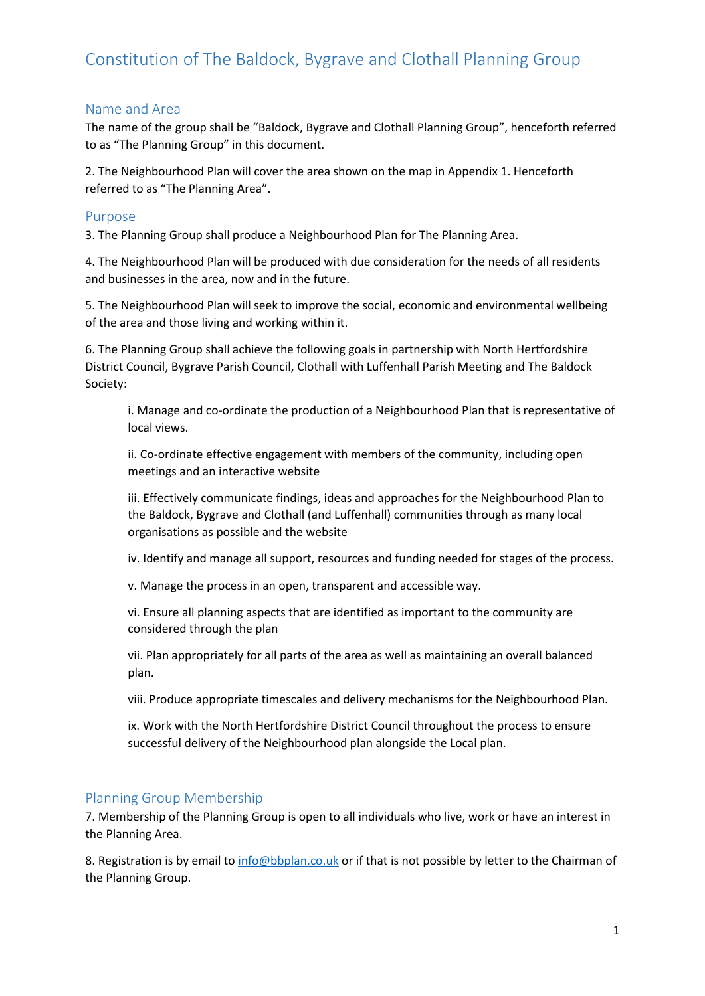# Constitution of The Baldock, Bygrave and Clothall Planning Group

#### Name and Area

The name of the group shall be "Baldock, Bygrave and Clothall Planning Group", henceforth referred to as "The Planning Group" in this document.

2. The Neighbourhood Plan will cover the area shown on the map in Appendix 1. Henceforth referred to as "The Planning Area".

#### Purpose

3. The Planning Group shall produce a Neighbourhood Plan for The Planning Area.

4. The Neighbourhood Plan will be produced with due consideration for the needs of all residents and businesses in the area, now and in the future.

5. The Neighbourhood Plan will seek to improve the social, economic and environmental wellbeing of the area and those living and working within it.

6. The Planning Group shall achieve the following goals in partnership with North Hertfordshire District Council, Bygrave Parish Council, Clothall with Luffenhall Parish Meeting and The Baldock Society:

i. Manage and co-ordinate the production of a Neighbourhood Plan that is representative of local views.

ii. Co-ordinate effective engagement with members of the community, including open meetings and an interactive website

iii. Effectively communicate findings, ideas and approaches for the Neighbourhood Plan to the Baldock, Bygrave and Clothall (and Luffenhall) communities through as many local organisations as possible and the website

iv. Identify and manage all support, resources and funding needed for stages of the process.

v. Manage the process in an open, transparent and accessible way.

vi. Ensure all planning aspects that are identified as important to the community are considered through the plan

vii. Plan appropriately for all parts of the area as well as maintaining an overall balanced plan.

viii. Produce appropriate timescales and delivery mechanisms for the Neighbourhood Plan.

ix. Work with the North Hertfordshire District Council throughout the process to ensure successful delivery of the Neighbourhood plan alongside the Local plan.

#### Planning Group Membership

7. Membership of the Planning Group is open to all individuals who live, work or have an interest in the Planning Area.

8. Registration is by email to [info@bbplan.co.uk](mailto:info@bbplan.co.uk) or if that is not possible by letter to the Chairman of the Planning Group.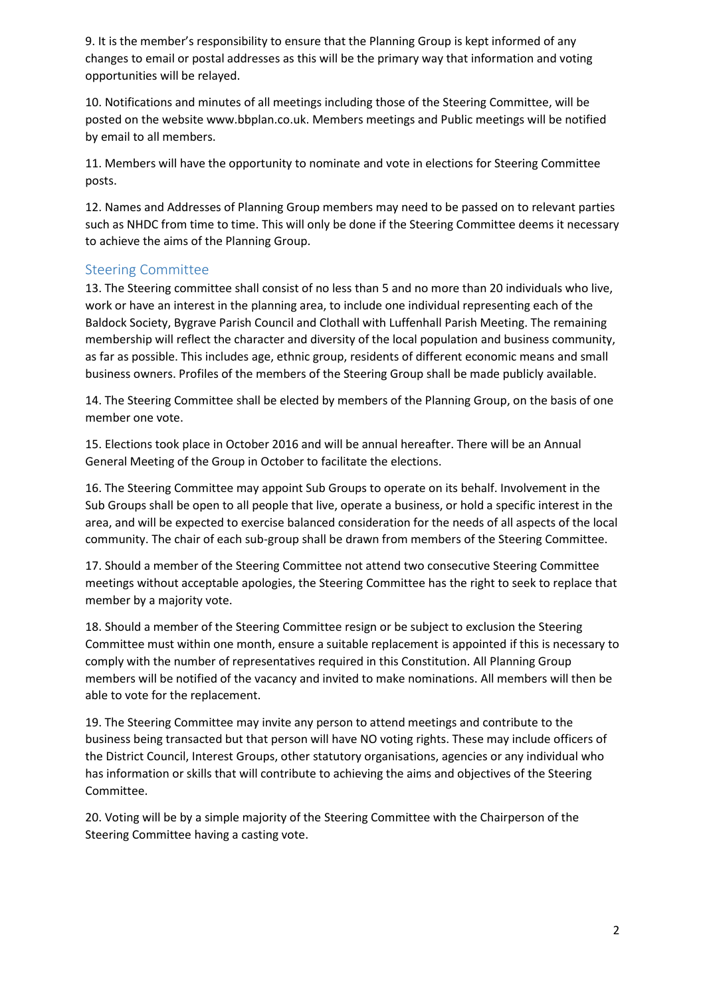9. It is the member's responsibility to ensure that the Planning Group is kept informed of any changes to email or postal addresses as this will be the primary way that information and voting opportunities will be relayed.

10. Notifications and minutes of all meetings including those of the Steering Committee, will be posted on the website www.bbplan.co.uk. Members meetings and Public meetings will be notified by email to all members.

11. Members will have the opportunity to nominate and vote in elections for Steering Committee posts.

12. Names and Addresses of Planning Group members may need to be passed on to relevant parties such as NHDC from time to time. This will only be done if the Steering Committee deems it necessary to achieve the aims of the Planning Group.

### Steering Committee

13. The Steering committee shall consist of no less than 5 and no more than 20 individuals who live, work or have an interest in the planning area, to include one individual representing each of the Baldock Society, Bygrave Parish Council and Clothall with Luffenhall Parish Meeting. The remaining membership will reflect the character and diversity of the local population and business community, as far as possible. This includes age, ethnic group, residents of different economic means and small business owners. Profiles of the members of the Steering Group shall be made publicly available.

14. The Steering Committee shall be elected by members of the Planning Group, on the basis of one member one vote.

15. Elections took place in October 2016 and will be annual hereafter. There will be an Annual General Meeting of the Group in October to facilitate the elections.

16. The Steering Committee may appoint Sub Groups to operate on its behalf. Involvement in the Sub Groups shall be open to all people that live, operate a business, or hold a specific interest in the area, and will be expected to exercise balanced consideration for the needs of all aspects of the local community. The chair of each sub-group shall be drawn from members of the Steering Committee.

17. Should a member of the Steering Committee not attend two consecutive Steering Committee meetings without acceptable apologies, the Steering Committee has the right to seek to replace that member by a majority vote.

18. Should a member of the Steering Committee resign or be subject to exclusion the Steering Committee must within one month, ensure a suitable replacement is appointed if this is necessary to comply with the number of representatives required in this Constitution. All Planning Group members will be notified of the vacancy and invited to make nominations. All members will then be able to vote for the replacement.

19. The Steering Committee may invite any person to attend meetings and contribute to the business being transacted but that person will have NO voting rights. These may include officers of the District Council, Interest Groups, other statutory organisations, agencies or any individual who has information or skills that will contribute to achieving the aims and objectives of the Steering Committee.

20. Voting will be by a simple majority of the Steering Committee with the Chairperson of the Steering Committee having a casting vote.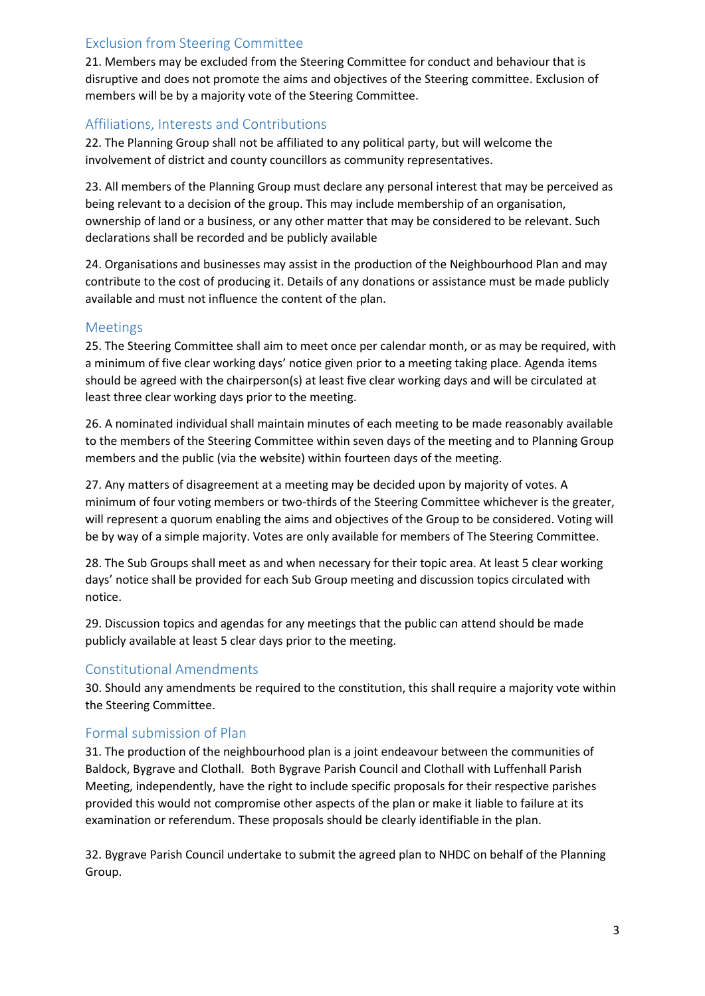## Exclusion from Steering Committee

21. Members may be excluded from the Steering Committee for conduct and behaviour that is disruptive and does not promote the aims and objectives of the Steering committee. Exclusion of members will be by a majority vote of the Steering Committee.

## Affiliations, Interests and Contributions

22. The Planning Group shall not be affiliated to any political party, but will welcome the involvement of district and county councillors as community representatives.

23. All members of the Planning Group must declare any personal interest that may be perceived as being relevant to a decision of the group. This may include membership of an organisation, ownership of land or a business, or any other matter that may be considered to be relevant. Such declarations shall be recorded and be publicly available

24. Organisations and businesses may assist in the production of the Neighbourhood Plan and may contribute to the cost of producing it. Details of any donations or assistance must be made publicly available and must not influence the content of the plan.

## Meetings

25. The Steering Committee shall aim to meet once per calendar month, or as may be required, with a minimum of five clear working days' notice given prior to a meeting taking place. Agenda items should be agreed with the chairperson(s) at least five clear working days and will be circulated at least three clear working days prior to the meeting.

26. A nominated individual shall maintain minutes of each meeting to be made reasonably available to the members of the Steering Committee within seven days of the meeting and to Planning Group members and the public (via the website) within fourteen days of the meeting.

27. Any matters of disagreement at a meeting may be decided upon by majority of votes. A minimum of four voting members or two-thirds of the Steering Committee whichever is the greater, will represent a quorum enabling the aims and objectives of the Group to be considered. Voting will be by way of a simple majority. Votes are only available for members of The Steering Committee.

28. The Sub Groups shall meet as and when necessary for their topic area. At least 5 clear working days' notice shall be provided for each Sub Group meeting and discussion topics circulated with notice.

29. Discussion topics and agendas for any meetings that the public can attend should be made publicly available at least 5 clear days prior to the meeting.

## Constitutional Amendments

30. Should any amendments be required to the constitution, this shall require a majority vote within the Steering Committee.

## Formal submission of Plan

31. The production of the neighbourhood plan is a joint endeavour between the communities of Baldock, Bygrave and Clothall. Both Bygrave Parish Council and Clothall with Luffenhall Parish Meeting, independently, have the right to include specific proposals for their respective parishes provided this would not compromise other aspects of the plan or make it liable to failure at its examination or referendum. These proposals should be clearly identifiable in the plan.

32. Bygrave Parish Council undertake to submit the agreed plan to NHDC on behalf of the Planning Group.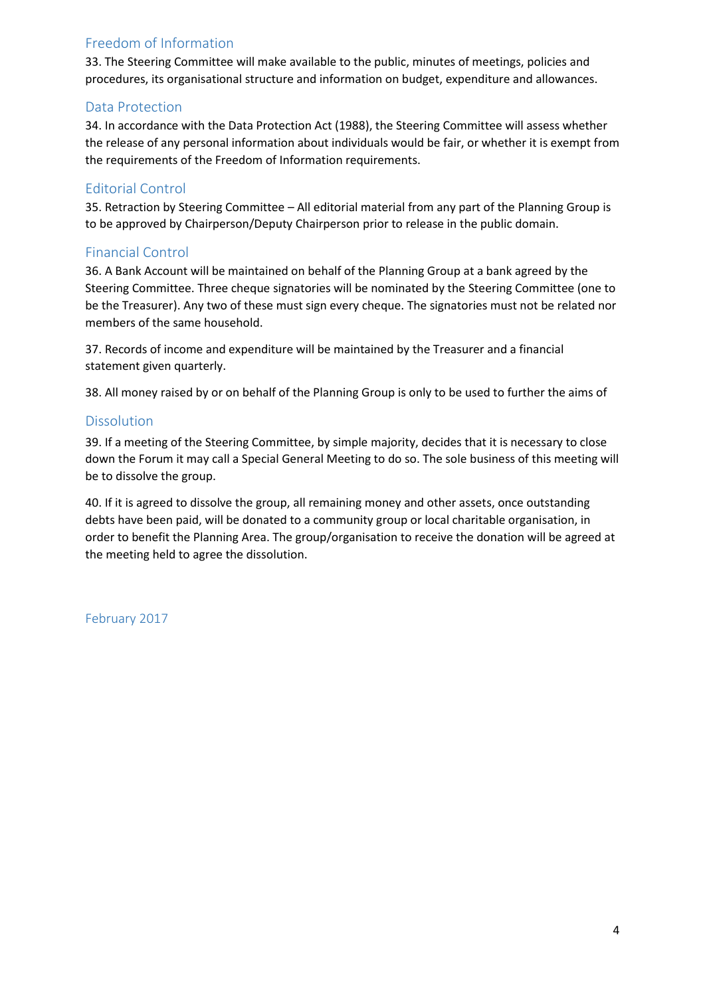## Freedom of Information

33. The Steering Committee will make available to the public, minutes of meetings, policies and procedures, its organisational structure and information on budget, expenditure and allowances.

## Data Protection

34. In accordance with the Data Protection Act (1988), the Steering Committee will assess whether the release of any personal information about individuals would be fair, or whether it is exempt from the requirements of the Freedom of Information requirements.

### Editorial Control

35. Retraction by Steering Committee – All editorial material from any part of the Planning Group is to be approved by Chairperson/Deputy Chairperson prior to release in the public domain.

### Financial Control

36. A Bank Account will be maintained on behalf of the Planning Group at a bank agreed by the Steering Committee. Three cheque signatories will be nominated by the Steering Committee (one to be the Treasurer). Any two of these must sign every cheque. The signatories must not be related nor members of the same household.

37. Records of income and expenditure will be maintained by the Treasurer and a financial statement given quarterly.

38. All money raised by or on behalf of the Planning Group is only to be used to further the aims of

#### Dissolution

39. If a meeting of the Steering Committee, by simple majority, decides that it is necessary to close down the Forum it may call a Special General Meeting to do so. The sole business of this meeting will be to dissolve the group.

40. If it is agreed to dissolve the group, all remaining money and other assets, once outstanding debts have been paid, will be donated to a community group or local charitable organisation, in order to benefit the Planning Area. The group/organisation to receive the donation will be agreed at the meeting held to agree the dissolution.

February 2017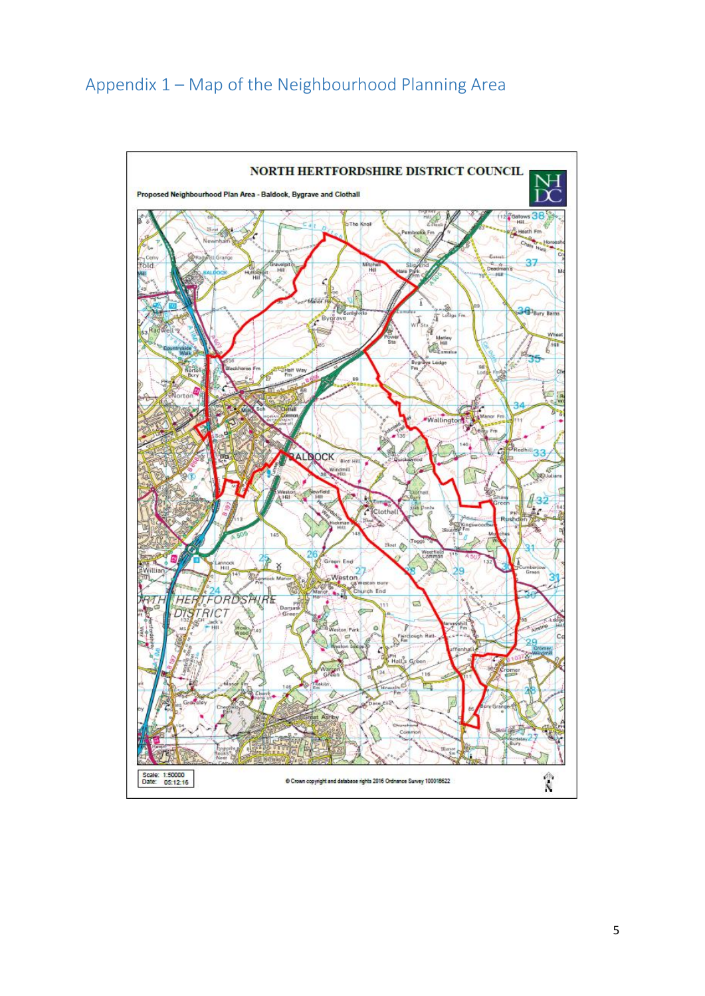# Appendix 1 – Map of the Neighbourhood Planning Area